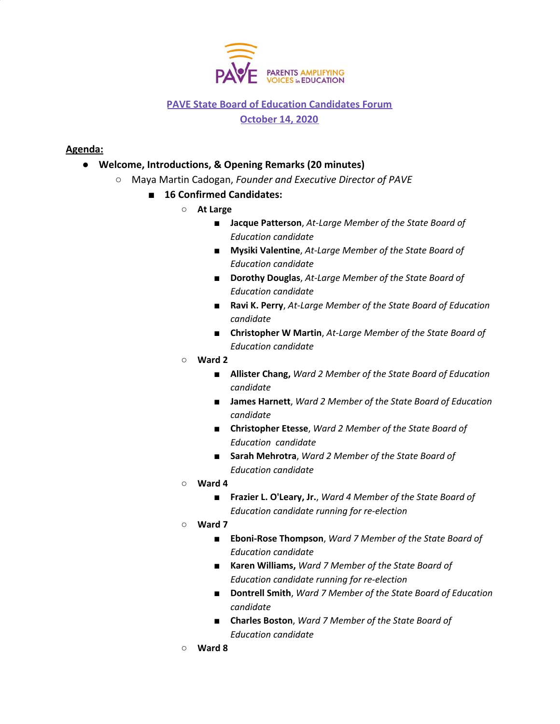

## **PAVE State Board of Education Candidates Forum October 14, 2020**

## **Agenda:**

- **Welcome, Introductions, & Opening Remarks (20 minutes)**
	- **○** Maya Martin Cadogan, *Founder and Executive Director of PAVE*
		- **16 Confirmed Candidates:** 
			- **At Large**
				- **Jacque Patterson**, *At-Large Member of the State Board of Education candidate*
				- **Mysiki Valentine**, *At-Large Member of the State Board of Education candidate*
				- *■* **Dorothy Douglas**, *At-Large Member of the State Board of Education candidate*
				- *■* **Ravi K. Perry**, *At-Large Member of the State Board of Education candidate*
				- *■* **Christopher W Martin**, *At-Large Member of the State Board of Education candidate*
			- **Ward 2**
				- **Allister Chang,** *Ward 2 Member of the State Board of Education candidate*
				- **James Harnett**, *Ward 2 Member of the State Board of Education candidate*
				- *■* **Christopher Etesse**, *Ward 2 Member of the State Board of Education candidate*
				- **Sarah Mehrotra**, *Ward 2 Member of the State Board of Education candidate*
			- **Ward 4**
				- **Frazier L. O'Leary, Jr.**, *Ward 4 Member of the State Board of Education candidate running for re-election*
			- **Ward 7**
				- **Eboni-Rose Thompson**, *Ward 7 Member of the State Board of Education candidate*
				- **Karen Williams,** *Ward 7 Member of the State Board of Education candidate running for re-election*
				- *■* **Dontrell Smith**, *Ward 7 Member of the State Board of Education candidate*
				- *■* **Charles Boston**, *Ward 7 Member of the State Board of Education candidate*
			- *○* **Ward 8**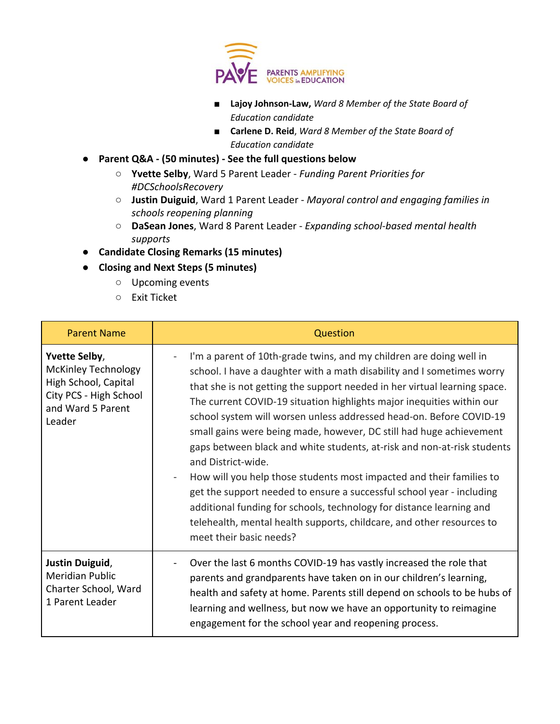

- *■* **Lajoy Johnson-Law,** *Ward 8 Member of the State Board of Education candidate*
- **Carlene D. Reid**, *Ward 8 Member of the State Board of Education candidate*
- **Parent Q&A (50 minutes) See the full questions below**
	- **Yvette Selby**, Ward 5 Parent Leader *Funding Parent Priorities for #DCSchoolsRecovery*
	- **Justin Duiguid**, Ward 1 Parent Leader *Mayoral control and engaging families in schools reopening planning*
	- **DaSean Jones**, Ward 8 Parent Leader *Expanding school-based mental health supports*
- **Candidate Closing Remarks (15 minutes)**
- **● Closing and Next Steps (5 minutes)**
	- Upcoming events
		- Exit Ticket

| <b>Parent Name</b>                                                                                                                  | Question                                                                                                                                                                                                                                                                                                                                                                                                                                                                                                                                                                                                                                                                                                                                                                                                                                                                        |
|-------------------------------------------------------------------------------------------------------------------------------------|---------------------------------------------------------------------------------------------------------------------------------------------------------------------------------------------------------------------------------------------------------------------------------------------------------------------------------------------------------------------------------------------------------------------------------------------------------------------------------------------------------------------------------------------------------------------------------------------------------------------------------------------------------------------------------------------------------------------------------------------------------------------------------------------------------------------------------------------------------------------------------|
| <b>Yvette Selby,</b><br><b>McKinley Technology</b><br>High School, Capital<br>City PCS - High School<br>and Ward 5 Parent<br>Leader | I'm a parent of 10th-grade twins, and my children are doing well in<br>school. I have a daughter with a math disability and I sometimes worry<br>that she is not getting the support needed in her virtual learning space.<br>The current COVID-19 situation highlights major inequities within our<br>school system will worsen unless addressed head-on. Before COVID-19<br>small gains were being made, however, DC still had huge achievement<br>gaps between black and white students, at-risk and non-at-risk students<br>and District-wide.<br>How will you help those students most impacted and their families to<br>get the support needed to ensure a successful school year - including<br>additional funding for schools, technology for distance learning and<br>telehealth, mental health supports, childcare, and other resources to<br>meet their basic needs? |
| Justin Duiguid,<br><b>Meridian Public</b><br>Charter School, Ward<br>1 Parent Leader                                                | Over the last 6 months COVID-19 has vastly increased the role that<br>parents and grandparents have taken on in our children's learning,<br>health and safety at home. Parents still depend on schools to be hubs of<br>learning and wellness, but now we have an opportunity to reimagine<br>engagement for the school year and reopening process.                                                                                                                                                                                                                                                                                                                                                                                                                                                                                                                             |